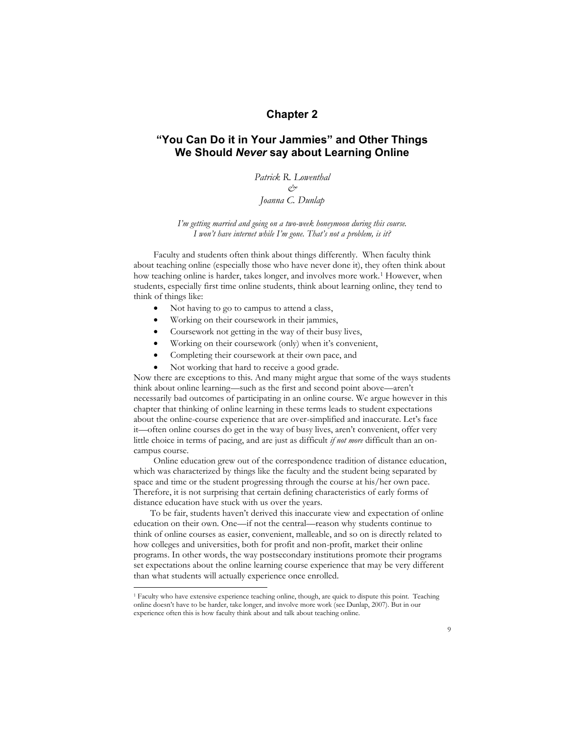# **Chapter 2**

# **"You Can Do it in Your Jammies" and Other Things We Should** *Never* **say about Learning Online**

*Patrick R. Lowenthal & Joanna C. Dunlap*

*I'm getting married and going on a two-week honeymoon during this course. I won't have internet while I'm gone. That's not a problem, is it?*

Faculty and students often think about things differently. When faculty think about teaching online (especially those who have never done it), they often think about how teaching online is harder, takes longer, and involves more work.<sup>1</sup> However, when students, especially first time online students, think about learning online, they tend to think of things like:

- Not having to go to campus to attend a class,
- Working on their coursework in their jammies,
- Coursework not getting in the way of their busy lives,
- Working on their coursework (only) when it's convenient,
- Completing their coursework at their own pace, and
- Not working that hard to receive a good grade.

Now there are exceptions to this. And many might argue that some of the ways students think about online learning—such as the first and second point above—aren't necessarily bad outcomes of participating in an online course. We argue however in this chapter that thinking of online learning in these terms leads to student expectations about the online-course experience that are over-simplified and inaccurate. Let's face it—often online courses do get in the way of busy lives, aren't convenient, offer very little choice in terms of pacing, and are just as difficult *if not more* difficult than an oncampus course.

Online education grew out of the correspondence tradition of distance education, which was characterized by things like the faculty and the student being separated by space and time or the student progressing through the course at his/her own pace. Therefore, it is not surprising that certain defining characteristics of early forms of distance education have stuck with us over the years.

To be fair, students haven't derived this inaccurate view and expectation of online education on their own. One—if not the central—reason why students continue to think of online courses as easier, convenient, malleable, and so on is directly related to how colleges and universities, both for profit and non-profit, market their online programs. In other words, the way postsecondary institutions promote their programs set expectations about the online learning course experience that may be very different than what students will actually experience once enrolled.

 <sup>1</sup> Faculty who have extensive experience teaching online, though, are quick to dispute this point. Teaching online doesn't have to be harder, take longer, and involve more work (see Dunlap, 2007). But in our experience often this is how faculty think about and talk about teaching online.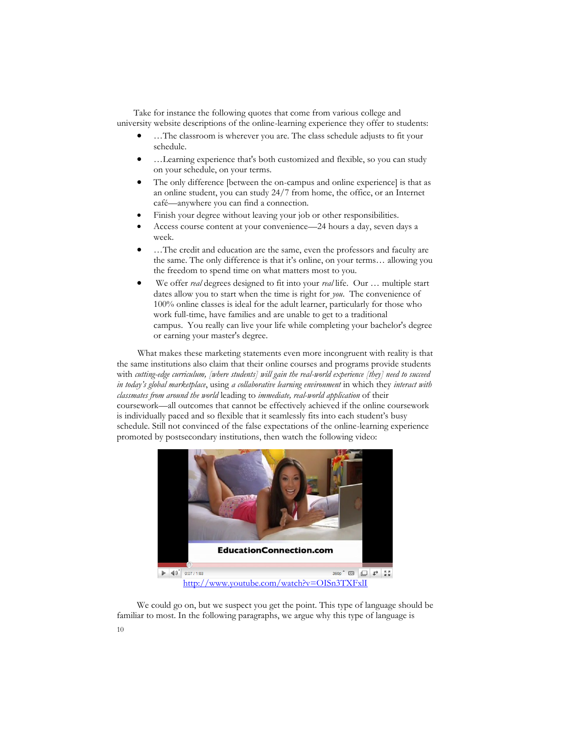Take for instance the following quotes that come from various college and university website descriptions of the online-learning experience they offer to students:

- …The classroom is wherever you are. The class schedule adjusts to fit your schedule.
- …Learning experience that's both customized and flexible, so you can study on your schedule, on your terms.
- The only difference [between the on-campus and online experience] is that as an online student, you can study 24/7 from home, the office, or an Internet café—anywhere you can find a connection.
- Finish your degree without leaving your job or other responsibilities.
- Access course content at your convenience—24 hours a day, seven days a week.
- …The credit and education are the same, even the professors and faculty are the same. The only difference is that it's online, on your terms… allowing you the freedom to spend time on what matters most to you.
- We offer *real* degrees designed to fit into your *real* life. Our … multiple start dates allow you to start when the time is right for *you*. The convenience of 100% online classes is ideal for the adult learner, particularly for those who work full-time, have families and are unable to get to a traditional campus. You really can live your life while completing your bachelor's degree or earning your master's degree.

What makes these marketing statements even more incongruent with reality is that the same institutions also claim that their online courses and programs provide students with *cutting-edge curriculum, [where students] will gain the real-world experience [they] need to succeed in today's global marketplace*, using *a collaborative learning environment* in which they *interact with classmates from around the world* leading to *immediate, real-world application* of their coursework—all outcomes that cannot be effectively achieved if the online coursework is individually paced and so flexible that it seamlessly fits into each student's busy schedule. Still not convinced of the false expectations of the online-learning experience promoted by postsecondary institutions, then watch the following video:



We could go on, but we suspect you get the point. This type of language should be familiar to most. In the following paragraphs, we argue why this type of language is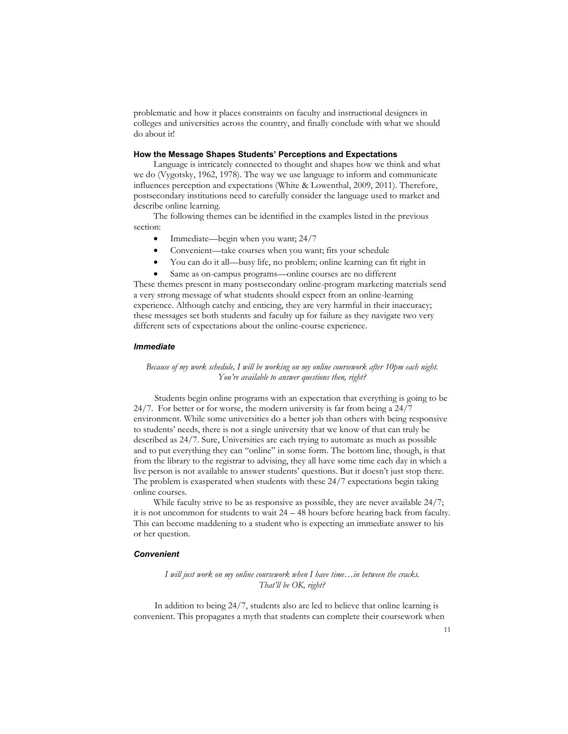problematic and how it places constraints on faculty and instructional designers in colleges and universities across the country, and finally conclude with what we should do about it!

## **How the Message Shapes Students' Perceptions and Expectations**

Language is intricately connected to thought and shapes how we think and what we do (Vygotsky, 1962, 1978). The way we use language to inform and communicate influences perception and expectations (White & Lowenthal, 2009, 2011). Therefore, postsecondary institutions need to carefully consider the language used to market and describe online learning.

The following themes can be identified in the examples listed in the previous section:

- Immediate—begin when you want; 24/7
- Convenient—take courses when you want; fits your schedule
- You can do it all—busy life, no problem; online learning can fit right in
- Same as on-campus programs—online courses are no different

These themes present in many postsecondary online-program marketing materials send a very strong message of what students should expect from an online-learning experience. Although catchy and enticing, they are very harmful in their inaccuracy; these messages set both students and faculty up for failure as they navigate two very different sets of expectations about the online-course experience.

# *Immediate*

# *Because of my work schedule, I will be working on my online coursework after 10pm each night. You're available to answer questions then, right?*

Students begin online programs with an expectation that everything is going to be 24/7. For better or for worse, the modern university is far from being a 24/7 environment. While some universities do a better job than others with being responsive to students' needs, there is not a single university that we know of that can truly be described as 24/7. Sure, Universities are each trying to automate as much as possible and to put everything they can "online" in some form. The bottom line, though, is that from the library to the registrar to advising, they all have some time each day in which a live person is not available to answer students' questions. But it doesn't just stop there. The problem is exasperated when students with these 24/7 expectations begin taking online courses.

While faculty strive to be as responsive as possible, they are never available 24/7; it is not uncommon for students to wait 24 – 48 hours before hearing back from faculty. This can become maddening to a student who is expecting an immediate answer to his or her question.

### *Convenient*

# *I will just work on my online coursework when I have time…in between the cracks. That'll be OK, right?*

In addition to being 24/7, students also are led to believe that online learning is convenient. This propagates a myth that students can complete their coursework when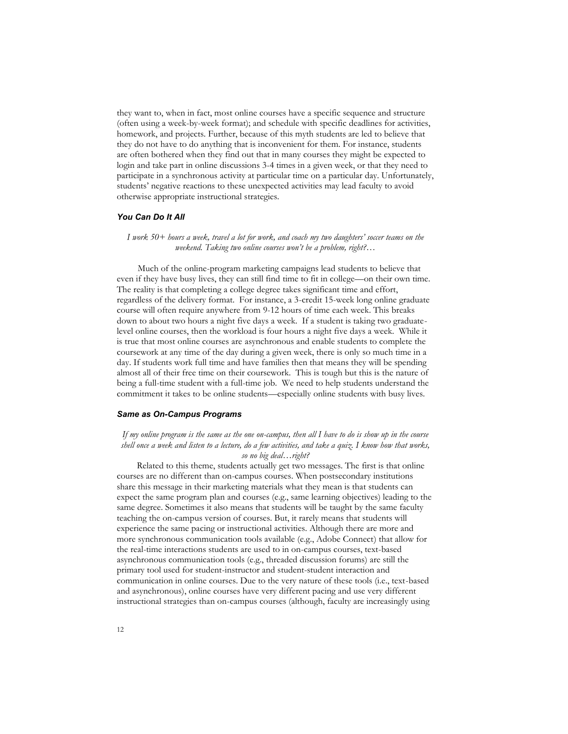they want to, when in fact, most online courses have a specific sequence and structure (often using a week-by-week format); and schedule with specific deadlines for activities, homework, and projects. Further, because of this myth students are led to believe that they do not have to do anything that is inconvenient for them. For instance, students are often bothered when they find out that in many courses they might be expected to login and take part in online discussions 3-4 times in a given week, or that they need to participate in a synchronous activity at particular time on a particular day. Unfortunately, students' negative reactions to these unexpected activities may lead faculty to avoid otherwise appropriate instructional strategies.

#### *You Can Do It All*

*I work 50+ hours a week, travel a lot for work, and coach my two daughters' soccer teams on the weekend. Taking two online courses won't be a problem, right?…*

Much of the online-program marketing campaigns lead students to believe that even if they have busy lives, they can still find time to fit in college—on their own time. The reality is that completing a college degree takes significant time and effort, regardless of the delivery format. For instance, a 3-credit 15-week long online graduate course will often require anywhere from 9-12 hours of time each week. This breaks down to about two hours a night five days a week. If a student is taking two graduatelevel online courses, then the workload is four hours a night five days a week. While it is true that most online courses are asynchronous and enable students to complete the coursework at any time of the day during a given week, there is only so much time in a day. If students work full time and have families then that means they will be spending almost all of their free time on their coursework. This is tough but this is the nature of being a full-time student with a full-time job. We need to help students understand the commitment it takes to be online students—especially online students with busy lives.

# *Same as On-Campus Programs*

*If my online program is the same as the one on-campus, then all I have to do is show up in the course shell once a week and listen to a lecture, do a few activities, and take a quiz. I know how that works, so no big deal…right?*

Related to this theme, students actually get two messages. The first is that online courses are no different than on-campus courses. When postsecondary institutions share this message in their marketing materials what they mean is that students can expect the same program plan and courses (e.g., same learning objectives) leading to the same degree. Sometimes it also means that students will be taught by the same faculty teaching the on-campus version of courses. But, it rarely means that students will experience the same pacing or instructional activities. Although there are more and more synchronous communication tools available (e.g., Adobe Connect) that allow for the real-time interactions students are used to in on-campus courses, text-based asynchronous communication tools (e.g., threaded discussion forums) are still the primary tool used for student-instructor and student-student interaction and communication in online courses. Due to the very nature of these tools (i.e., text-based and asynchronous), online courses have very different pacing and use very different instructional strategies than on-campus courses (although, faculty are increasingly using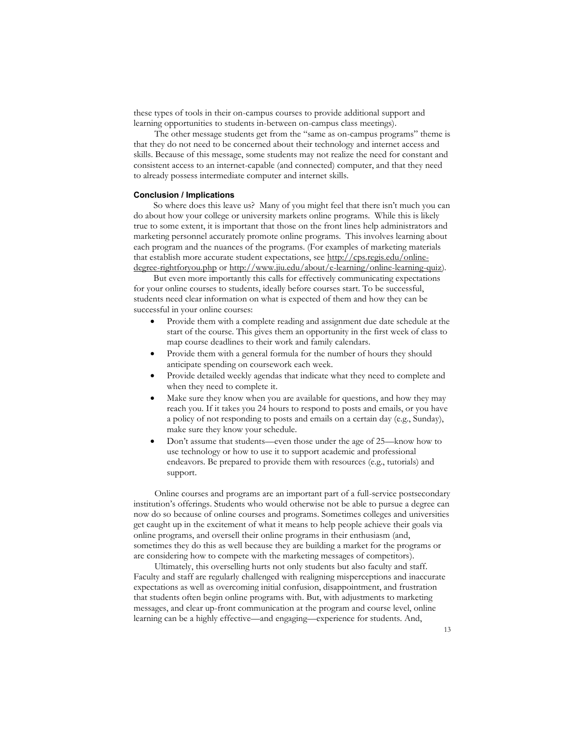these types of tools in their on-campus courses to provide additional support and learning opportunities to students in-between on-campus class meetings).

The other message students get from the "same as on-campus programs" theme is that they do not need to be concerned about their technology and internet access and skills. Because of this message, some students may not realize the need for constant and consistent access to an internet-capable (and connected) computer, and that they need to already possess intermediate computer and internet skills.

#### **Conclusion / Implications**

So where does this leave us? Many of you might feel that there isn't much you can do about how your college or university markets online programs. While this is likely true to some extent, it is important that those on the front lines help administrators and marketing personnel accurately promote online programs. This involves learning about each program and the nuances of the programs. (For examples of marketing materials that establish more accurate student expectations, see http://cps.regis.edu/onlinedegree-rightforyou.php or http://www.jiu.edu/about/e-learning/online-learning-quiz).

But even more importantly this calls for effectively communicating expectations for your online courses to students, ideally before courses start. To be successful, students need clear information on what is expected of them and how they can be successful in your online courses:

- Provide them with a complete reading and assignment due date schedule at the start of the course. This gives them an opportunity in the first week of class to map course deadlines to their work and family calendars.
- Provide them with a general formula for the number of hours they should anticipate spending on coursework each week.
- Provide detailed weekly agendas that indicate what they need to complete and when they need to complete it.
- Make sure they know when you are available for questions, and how they may reach you. If it takes you 24 hours to respond to posts and emails, or you have a policy of not responding to posts and emails on a certain day (e.g., Sunday), make sure they know your schedule.
- Don't assume that students—even those under the age of 25—know how to use technology or how to use it to support academic and professional endeavors. Be prepared to provide them with resources (e.g., tutorials) and support.

Online courses and programs are an important part of a full-service postsecondary institution's offerings. Students who would otherwise not be able to pursue a degree can now do so because of online courses and programs. Sometimes colleges and universities get caught up in the excitement of what it means to help people achieve their goals via online programs, and oversell their online programs in their enthusiasm (and, sometimes they do this as well because they are building a market for the programs or are considering how to compete with the marketing messages of competitors).

Ultimately, this overselling hurts not only students but also faculty and staff. Faculty and staff are regularly challenged with realigning misperceptions and inaccurate expectations as well as overcoming initial confusion, disappointment, and frustration that students often begin online programs with. But, with adjustments to marketing messages, and clear up-front communication at the program and course level, online learning can be a highly effective—and engaging—experience for students. And,